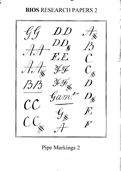# **BIOS RESEARCH PAPERS 2**



## Pipe Markings 2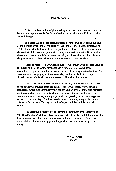#### Pipe Markings 2

This second collection of pipe markings illustrates scripts of several organ builders not represented in the first collection - especially of the Dallam-Harris-Byfield lineage.

It is clear that there are distinct scripts from the two great organ building schools which arose in the 17th century - the Smith school and the Harris school. Within these schools the constituent organ builders show slight variations within the context of the basic script whilst retaining an overall similarity. How far this distinction is consistent is by no means certain, and it remains unsafe to identify the provenance of pipework solely on the evidence of pipe markings.

There appears to be a watershed in the 18th century when the archaisms of the Smith and Harris scripts disappear and a modern style is established, characterized by modern letter forms and the use of the  $#$  sign instead of tails. As so often with changing styles there is overlap, so that we find, for example, Snetzler using tails for sharps in the second half of the 18th century.

Some early William Hill markings are given. A comparison of these with those of Gray & Davison from the middle of the 19th century shows striking similarities which demonstrates vividly the caveat that 19th century pipe markings are not safe clues as to the authorship of the pipes. It seems as if a universal script had gained currency amongst pipemakers - possibly, it has been suggested, to do with the teaching of uniform handwriting in schools; it might also be seen as a facet of the spread of factory methods of organ building with large works forces.

The compiler is indebted to the several contributors of these markings whose authorship is acknowledged with each set. He is also grateful to those who have supplied sets of markings which have so far not been used. There is an accumulation of anonymous pipe markings which will sometime be given an airine.

> David C. Wickens June 1994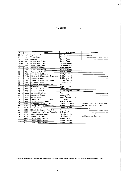#### **Contents**

| Page  | Year        | Location                                           | <b>Org Builder</b>         | Remarks                          |
|-------|-------------|----------------------------------------------------|----------------------------|----------------------------------|
|       | 01-02 1625c | Stanford-on-Avon                                   | Dallam                     |                                  |
| łО2   | 1631c       | Tewkesbury                                         | Dallam                     |                                  |
| lo2.  | 1653        | Lanvellec                                          | Dallam Robert              |                                  |
| 02-06 | 1662        | Oxford, New College                                | Dallam, Robert             |                                  |
|       | 03-06 1713? | Oxford, New College                                | Harris, Renatus            |                                  |
| 07    | 1665        | Nettlecombe Court                                  | Loosemore, John            |                                  |
| 80ļ   | 1673        | Walton-on-Thames                                   | Smith, Bernard             |                                  |
| 109   | 1678        | Chichester Cathedral                               | Harris, Renatus            |                                  |
| lo9.  | 1725c       | Chichester Cathedral                               | Byfield. John I            |                                  |
| 10    | 1708c       | Sedgefield, St.Edmund                              | Smith, Gerard              |                                  |
|       | 11-12 1715c | Whitchurch (Middlesex), St.Lawrence Smith, Gerard? |                            |                                  |
| 13    | 1717c       | Finedon, St.Mary                                   | Smith, Gerard?             |                                  |
| 14    | 1742        | London, St.Helen, Bishopsgate                      | Griffin, Thomas            |                                  |
| 15    | 1742        | private residence                                  | Snetzler, John             |                                  |
| 16    | 1760c       | Edinburgh, Russell Collection                      | Anon.                      |                                  |
| 17    | 1765        | Rotherhithe, St.Mary                               | Byfield, John II           |                                  |
| 18    | 1769        | Powderham Castle                                   | Seede, Brice               |                                  |
| 19    | 1780        | Abingdon, St.Helen                                 | Byfield, England & Russell |                                  |
| 20-21 | 1800s       | Markenfield Hall (ex)                              | Anon.                      |                                  |
| 22    | 1820c       | Hassop, All Saints                                 | Lincoln, H.C.              |                                  |
| 23    | 1826        | <b>Belton House</b>                                | <b>Elliot, Thomas</b>      |                                  |
| 24    | 1839        | Cambridge, St.John's College                       | Hill, William              |                                  |
| 25    | 1842        | Durrow Church, Ireland                             | Telford, William           |                                  |
| 26    | 1847        | Wentworth Church, Yorks                            | Bishop, J.C. (prob)        | to Haringhuizen, The Netherlands |
| 26    | 1847        | Haringhuizen, The Netherlands                      | Bishop, J.C. (prob)        | ex Wentworth Church, Yorks.      |
| 27    | 1851        | Limehouse, St.Ann                                  | Gray & Davison             |                                  |
| 28    | 1851        | Bristol, Buckingham Chapel, Clifton                | Monday, Joseph             |                                  |
| 29    | 1852        | Westminster, St.James, Piccadilly                  | Bishop, J.C.               |                                  |
| 30    | 1861        | Manchester Cathedral                               | Nicholson, John            |                                  |
| 30    | 1861        | Bolton, Holy Trinity                               | Nicholson, John            | ex Manchester Cathedral          |
| 31    | 1837        | Ludlow Parish Church                               | Walker, Joseph             |                                  |
| 31    | 1860        | Ludlow Parish Church                               | Gray & Davison             |                                  |
| 31    | 1883        | Ludlow Parish Church                               | Gray & Davison             |                                  |

Front cover: pipe markings from stopped wooden pipes in an anonymous chamber organ ex Markenfield Hall, traced by Martin Goetze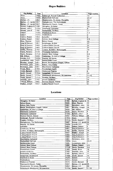| Org Builder              | Year  | Location                            | Page number             |
|--------------------------|-------|-------------------------------------|-------------------------|
| Anon.                    | 1760c | Edinburgh, Russell Collection       | 16                      |
| Anon.                    | 1800s | Markenfield Hall (ex)               | $20 - 21$               |
| Bishop J.C.              | 1852  | Westminster, St. James, Piccadilly  | 29                      |
| Bishop, J.C. (prob) 1847 |       | Haringhuizen, The Netherlands       | 26                      |
| Bishop, J.C. (prob) 1847 |       | Wentworth Church, Yorks             | 26                      |
| Byfield, England &       | 1780  | Abingdon, St.Helen                  | 19                      |
| Byfield, John I          | 1725c | Chichester Cathedral                | 9                       |
| Byfield, John II         | 1765  | Rotherhithe, St.Mary                | 17                      |
| Dailam                   | 1625c | Stanford-on-Avon                    | $1 - 2$                 |
| Dallam                   | 1631c | Tewkesbury                          | $\overline{\mathbf{c}}$ |
| Dallam, Robert           | 1653  | İLanvellec                          | $\overline{2}$          |
| Dallam, Robert           | 1662  | Oxford, New College                 | $2-6$                   |
| Elliot, Thomas           | 1826  | Belton House                        | 23                      |
| Gray & Davison           | 1851  | Limehouse, St.Ann                   | 27                      |
| Gray & Davison           | 1860  | Ludlow Parish Church                | 31                      |
| Gray & Davison           | 1883  | Ludlow Parish Church                | 31                      |
| Griffin, Thomas          | 1742  | London, St.Helen, Bishopsgate       | 14                      |
| Harris, Renatus          | 1678  | Chichester Cathedral                | l9                      |
| Harris, Renatus          | 1713? | Oxford, New College                 | $3-6$                   |
| Hill, William            | 1839  | Cambridge, St.John's College        | 24                      |
| Lincoln, H.C.            | 1820c | Hassop, All Saints                  | 22                      |
| Loosemore, John          | 1665  | Nettlecombe Court                   | 7                       |
| Monday, Joseph           | 1851  | Bristol, Buckingham Chapel, Clifton | 28                      |
| Nicholson, John          | 1861  | Bolton, Holy Trinity                | 30                      |
| Nicholson, John          | 1861  | Manchester Cathedral                | 30                      |
| Seede, Brice             | 1769  | Powderham Castle                    | 18                      |
| Smith, Bernard           | 1673  | Walton-on-Thames                    | 8                       |
| Smith, Gerard            | 1708c | Sedgefield, St.Edmund               | 10                      |
| Smith, Gerard?           | 1715c | Whitchurch (Middlesex), St.Lawrence | $11 - 12$               |
| Smith, Gerard?           | 1717c | Finedon, St.Mary                    | 13                      |
| Snetzler, John           | 1742  | private residence                   | 15                      |
| Telford, William         | 1842  | Durrow Church, Ireland              | 25                      |
| Walker, Joseph           | 1837  | İLudlow Parish Church               | 31                      |

#### Locations

| Location                            | Year                               | Org Builder            | Page number    |
|-------------------------------------|------------------------------------|------------------------|----------------|
| Abingdon, St.Helen                  | 1780<br>Byfield, England &<br>l 19 |                        |                |
| Belton House                        |                                    | <b>Elliot</b> , Thomas | 23             |
| Bolton, Holy Trinity                |                                    | Nicholson, John        | 30             |
| Bristol, Buckingham Chapel, Clifton | 1851                               | Monday, Joseph         | 28             |
| Cambridge, St.John's College        | 1839                               | Hill, William          | 24             |
| <b>Chichester Cathedral</b>         | 1678                               | Harris, Renatus        | l9.            |
| <b>Chichester Cathedral</b>         | 1725c                              | Byfield, John I        | l9.            |
| Durrow Church, Ireland<br>۰         | 1842                               | Telford, William       | 25             |
| Edinburgh, Russell Collection       | 1760c                              | Anon.                  | 16             |
| Finedon, St.Mary                    | 1717c                              | Smith, Gerard?         | 13             |
| Haringhuizen, The Netherlands       | 1847                               | Bishop, J.C. (prob) 26 |                |
| Hassop, All Saints                  | İLincoln, H.C.<br>1820c            |                        | 22             |
| Lanvellec                           | 1653                               | Dallam, Robert         | l2             |
| Limehouse, St.Ann                   | 1851                               | Gray & Davison         | 27             |
| London, St.Helen, Bishopsgate       | 1742                               | Griffin, Thomas        | 14             |
| Ludlow Parish Church                | 1837                               | Walker, Joseph         | 31             |
| Ludlow Parish Church                | 1860                               | Gray & Davison         | 31             |
| Ludlow Parish Church                | 1883                               | Gray & Davison         | 31             |
| Manchester Cathedral                | 1861                               | Nicholson, John        | 30             |
| Markenfield Hall (ex)               | 1800s                              | Anon.                  | 20-21          |
| Nettlecombe Court                   | 1665                               | Loosemore, John        | 7              |
| Oxford, New College                 | 1662<br>Dallam, Robert             |                        | $2 - 6$        |
| Oxford, New College                 | 1713?                              | Harris, Renatus        | $3 - 6$        |
| Powderham Castle                    | 1769                               | Seede, Brice           | 18             |
| private residence                   | 1742                               | Snetzler, John         | 15             |
| Rotherhithe, St.Mary                | 1765                               | Byfield, John II       | 17             |
| Sedgefield, St.Edmund               |                                    | Smith, Gerard          | 10             |
| Stanford-on-Avon<br>-               | 1625c                              | Dallam                 | $1 - 2$        |
| Tewkesbury                          | 1631c                              | Dallam                 | $\overline{2}$ |
| Walton-on-Thames                    |                                    | Smith, Bernard         | l8             |
| Wentworth Church, Yorks             |                                    | Bishop, J.C. (prob) 26 |                |
| Westminster, St.James, Piccadilly   | 1852                               | Bishop, J.C.           | 29             |
| Whitchurch (Middlesex), St.Lawrence | 1715c                              | Smith, Gerard?         | 11-12          |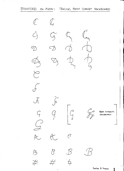1

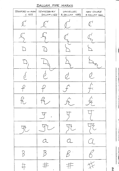DALLAM PIPE MARKS

| STANFORD ON AVON<br>C.1625  | TEWKESBURY<br>DALLAM C.IG31<br>$\mathbb{Z}^{\mathbb{Z}}$                                                | LANVELLEC<br>R.DALLAM 1653 | NEW COLLEGE<br>R.DALLAM 1662 |
|-----------------------------|---------------------------------------------------------------------------------------------------------|----------------------------|------------------------------|
|                             |                                                                                                         |                            |                              |
|                             |                                                                                                         |                            |                              |
|                             |                                                                                                         |                            |                              |
|                             |                                                                                                         |                            |                              |
|                             |                                                                                                         |                            |                              |
|                             |                                                                                                         |                            |                              |
| $\mathcal{T}_{\mathcal{L}}$ | $\mathcal{T}_{\mathcal{U}}$                                                                             | 九                          | 飞                            |
|                             | $\int$                                                                                                  |                            |                              |
| $\frac{1}{2}$               |                                                                                                         | 咒                          | <b>YZ</b>                    |
|                             | $\alpha$                                                                                                |                            | $\mathcal{I}_{-}$            |
| $\beta$                     | $\mathcal{B}% _{M_{1},M_{2}}^{\prime}(\theta)=\left( \mathcal{A}_{M_{1},M_{2}}^{\prime}\right) ^{\ast}$ | $\beta$                    | $\bigotimes$                 |
| #                           | #                                                                                                       | #                          | #                            |

 $\overline{2}$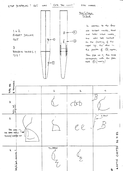$1 + 2$ 

 $1665$ 

 $1713.3$ 

 $\overline{3}$ 

ROBERT DALLAM

RENATUS HARRIS ?

tte

D

 $\mathcal{B}$ 

 $\int$ 

PIPE MARKS.

New College,  $0$   $\times$   $\sqrt{2}$ 

 $\left( 4\right)$ 

 $\circledS$ 

In addition to the four scribed marks, there old are later intex marks. das set maked one. on the flatting of the upper up, the other in the position of 3, approx.

From pipe no. II, this mark corresponds with the pitch  $mark \ (\bigoplus (mostly.)$ 

 $\ddot{\mathrm{+}}$ 



 $26.7.83$ MARTIN COETZE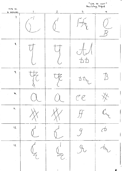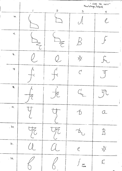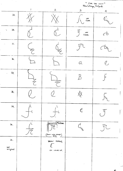" COR DE NUIT"<br>New College, Oxford  $\overline{2}$  $\overline{1}$  $\overline{3}$  $\overline{4}$  $22.$  $\frac{1000}{1000}$  $24.$  $\mathcal{A}$  $\mathsf{port}$  $\overline{D}$  $\mathcal{C}_{0}^{2}$  $Cuen$  $25.$  $\overline{z}$  $\widetilde{\phantom{a}}$  $26.$  $\alpha$  $\overline{\mathcal{C}}$  $27.$  $\overline{\mathcal{B}}$  $\frac{1}{2}$ 28.  $29$  $\mathbb{C}^{\!\!1}_\!$  $\bar{d}_{\mathbf{q}_{\mathbf{z}}}$  $\sqrt{\frac{1}{20}}$  $30<sub>1</sub>$  $\frac{\text{(foor has ADED)}}{\text{BTS}}$  $31.$ BEOW FLATTAG  $\mathcal{C}$ not<br>original  $\infty$  Laver Lip ē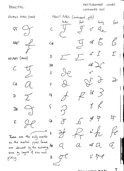### PRINCIPAL

NETTLECOMBE COURT

 $body$ 

LOOSMORE 1665

 $\overline{g}$  c°  $a$ 

FRONT PIPES (embosged, gi(t)

 $\sim$ 

لممطع

 $\overline{C}$ 

 $\int_{\infty}$ 

可 中  $\sqrt{\phantom{a}}$  $\begin{matrix} \mathcal{C} \ \mathcal{D} \end{matrix}$  $C#$  $d^{\bullet}$  $\int$  $\sum_{i=1}^n$  $\int$  $\mathbb D$  $df$   $\sum$  $\mathfrak{p}$ # E  $Qf.$ よ F  $\int_{\mathbb{H}}^{\infty}$  $\bigcup$  $H$  $3 \nless$  $\varsigma$  $9^{\text{#}}$  $\cancel{P}$  $\mathcal{F}$  $G#$  $a^2$  ft  $\begin{matrix} \mathcal{S} \\ \mathcal{S} \end{matrix}$  $\frac{2}{\gamma}$  $\overrightarrow{d}$  $\overline{\mathcal{A}}$ These are the only notes on the metal pipes. Some  $a\sharp^{\circ}$  $\mathcal{Q}$ are obscured by the emborsing, A#  $Q$  $C$ some by layers of size and  $H$  $\int_{0}^{\infty}$  $\mathcal B$ 

STOPPED BASS (WOOD)  $99$  $AA#?$  $\frac{1}{\sqrt{2}}$ HELPERS (WOOD)  $\frac{1}{\sqrt{2}}$  $C#$  $\mathcal{O}$  $\sum$  $\mathbb D$ 

 $\mathbb{D}$ #

E

g'iding.

 $\sqrt{ }$ 

 $H^{\!\mathcal{P}}$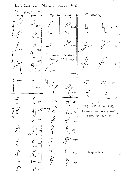Smith front pipes: Walton-on-Thames  $(1673)$ PIPE MARK (CIRCS) TOWER  $B$ CENTRE TOWER POOT outside pipe  $129,6$  $201,6$  $149,5$  $158,0$  $2204$  $1772$ 188,3 C# tower  $\zeta$ Att lower Souds  $(A?) 278,3$ than  $168,5$  $191,8$  $2420$ mermost pipe  $159,0$  $(44, 8)$  $207,8$  $137,6$  $70,0$  $\overline{\mathbf{81,7}}$  $\mathcal{L}$ THIS ONE FIRST PIPE,  $\epsilon$  (scencum) Hats LOOKING AT THE PRESPECT,  $95,1$ も<br>し LEFT TO RIGHT 90,9  $113,3$  $123,4$  $101, 0$  $1055$  $118,21$ Goetze a Guynn  $888$  $109,2$  $74,8$ 84,9  $77,0$ g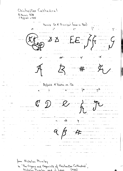Chichester Cathedral R. Harris 1678  $J.8y$ field c 1725 Harris Gt A' Principal (now in Ped) السائنسيان الأولى المناسبة المناسبة المعام المناسبة المعام الأولى المناسبة المعام الأولى المناسبة ال  $EEff-G$  $-4<sup>o</sup>$  $4.11$  $\mathcal{L}_{\text{max}}$  , and  $a+<sup>o</sup>$  $# - \mathfrak{L}$ المستحدثة المنابي Bytield A Flute on Ch .......... <u> 1996 gaman shekara 1</u>  $+$   $+$   $+$   $+$  $\frac{1}{\sqrt{2}}$  $\mathbb{C}$   $\mathbb{D}$   $\mathbb{C}$  $+ + -$ ومصارفه والمرادي الماريان from Nicholas Plumley in 'The Organs and Organists of Chichester Cathedral, Nicholas Plumley and J. Lees (1989)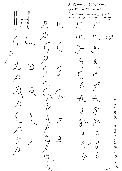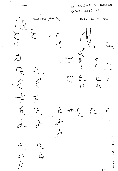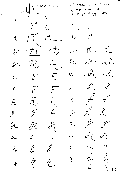tapered raule 4'? St. LAWRENCE WHITCHURCH GERARD SMITH? 1715? re-moting on flutting dorsaw?  $\Gamma$   $\chi$   $\zeta$  $\Gamma$   $\Gamma$  $\sqrt{ }$  $M_{\rm H}$  $\mathcal{L}$ IC  $\sqrt{2}$  $TC$  $x \not\!\!\!D \not\!\!\!D$  $\mathcal{L}$  $x^2$  $2 - 2$  $R$   $7$ Le oh oh  $\epsilon$  $E$   $E$  $\mathcal{C}% _{M_{1},M_{2}}^{\alpha,\beta}(\varepsilon)$  $f$   $\ell$   $\ell$  $F$  $\sqrt{1}$  $\int$  $\not=$ 无 斤  $\overline{\mathcal{A}}$  $\mathcal{A}$ .  $R$  $\mathcal{L}_{\mathcal{I}}$  $\frac{q}{\sqrt{2}}$  $\mathcal{L}_j$  $\mathscr{J}$  $\begin{array}{cc} 4 & 4 \end{array}$  $CL$  $\mathcal{J}_1$  $\stackrel{q}{\sim}$ IL  $z<sub>1</sub>$  $\lambda$  $\mathcal{L}$  $a$  $\Delta_$  $a a$  $\mathscr{C}$  $\ell$  $\ell$  $\big\{\}$  $\ell$ q  $\overline{\mathcal{L}}$  $\not\vdash$ 比  $4\frac{1}{2}$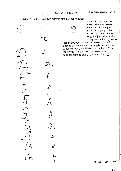taken from the lowest two octaves of the Great Principal.

&

 $\mathscr{L}$ 

 $\mathcal{V}$ 



All the original pipes are marked with their note on both body and foot, just above and slightly to the right of the flatting on the body, and just below and to the right ot the flatting on the

foot. In addition, the rank is marked on the foot close to the note mark. The 'P' (above) is on the Great Principal; the Fifteenth is marked'15', and the Twelfth '12 (but with the note marks corresponding to pitch, i.e. C is marked'g').

M.H.G. 27.7.1993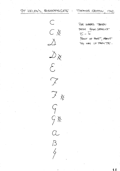ST HELEN'S, BISHOPSGATE THOMAS GRIFFIN  $1742$ 

> $\subset$ CX  $\sum$  $\bigtriangledown_{\mathsf{X}}$  $\mathcal{E}$  $\widetilde{\phantom{a}}$ 了 ※  $\varsigma$  $\zeta$  $\overline{\beta}$

PIRE MARKS TAKEN FROM ROHR GEDELKT  $\overline{C}$  -  $\overline{6}$ FRONT OF FOOT, ABOUT 3/4 way UP FROM TOE.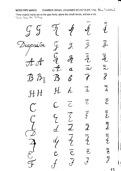**WOOD PIPE MARKS** 

CHAMBER ORGAN, JOHANNES SCHNETZLER, 1742 (Alan Cuckston)

These original marks are on the pipe fronts, above the mouth bevels, and are in ink. Taken from the St. Diap.

 $\mathcal{G}$ Diapcuson  $\mathcal{I}$  $\mathcal{J}.$  $\mathcal{G}_{\!\!\!\!\boldsymbol{\ell}}$  $\bar{z}$  $\bar{\tilde{a}}$  $\overline{\mathcal{A}}$  $\overline{a}$  $\mathcal{B}$  $\mathcal{B}$  $\boldsymbol{\mathscr{f}}$ f<br>C  $\overline{h}$ h,  $J H H$  $\overline{\overline{C}}$  $\bigcap$  $\overline{C}$  $\widetilde{C}$  $\overline{\overline{\zeta}}$  $\overline{\zeta}$ -<br>L  $\overline{d}$  $\boldsymbol{\bar{d}}$  $\widehat{\tilde{\tau}}$  ,  $\widehat{\mathcal{C}}$  .

 $\overline{9}$  $\bar{\bar{z}}_L$  $\bar{a}$  $\vec{\bar{\delta}}$  $\overline{\overline{h}}$  $\bar{\bar{c}}$  $\bar{\bar{\varepsilon}}$  $\bar{d}$  $\overline{d}_{\mathcal{L}}$  $\equiv$ <br> $\epsilon$  $\bar{\bar{Z}}$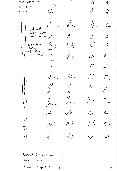OPEN DIAPASON ے  $\odot$  $\circled{2}$  $c^{\circ}$  -  $b^{\circ}$  +  $\mathbf{I}$ ¢,  $\overline{c}$  -  $\overline{b}$ for  $\alpha$  $t$  $first$  row  $\mathcal{O}$ bass '/5 from top<br>treble '/3 from top  $\overrightarrow{D}$  $\overrightarrow{D}$  $\overrightarrow{D}$  $\overline{\mathcal{X}}$  $\frac{2}{5}$  $26$ eЬ - CI9 note on  $e<sub>6</sub>$  $\mathbf{t}$ flatting - just above<br>Fackboard (2) g<br>1  $\overline{\mathcal{C}}$  $\mathcal{E}_{\mathcal{L}}$  $\mathcal{F}$  $\mathcal{F}$  $\mathcal{F}$  $E$  $\sqrt{2}$  $\overline{\mathcal{F}}$  $\mathcal{F}_{\mathcal{D}}$  $\frac{\rho}{\lambda}$  $\zeta$  $\frac{4}{1}$  $\mathcal{G}_{\mathcal{X}}$  $\mathcal{G}_{\mathcal{L}_{\mathcal{L}}}$  $h \mathcal{L}_{\mathcal{L}}$  $\frac{1}{2}$  $\mathcal{A}$  $\alpha$  $\mathcal{A}$  $\hat{\alpha}$ ОĎ  $\frac{1}{36}$  $136$  $\overline{3}$  $AB6$  $\gamma_{\tilde{z}}$  $\bigstar$  $\bigtriangledown$  $\bigtriangledown$  $\searrow$  $15$ 

Russell Collection anon. c. 1760

DOMINIC GWYNN 29.9.93 16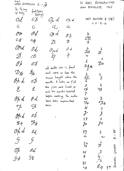Grect St MARY ROTHERHITHE OPEN DIAPASON  $\bar{a} - \bar{q}$ #  $1765$ JOHN BYFIELD II  $\frac{1}{4} - \frac{1}{2}$  way foot (below up body  $\{|\mathbf{a}|, \mathbf{q}\}$ 1959 MIXTURE  $I(i_3')$  $Od$  $\sigma\chi$  $\mathcal{O}_p$  d  $\mathcal{O}$   $\not\sim d$  $C.D-Bct$  $\mathcal{C}$  $Q$  $\mathcal{C}$  $\overline{a}$ Op d  $\mathscr{O}$ d O p  $\mathbf{z}$  $\emptyset\,\%$  $\frac{1}{3}$  $C \not\propto$ Cy  $\beta$  $\mathcal{Z}$ Opd  $\mathcal{O}d$  $O$  d  $\overset{\mathcal{X}}{\cancel{\triangle}} \cancel{z}$  $\mathcal{\vec{Z}}$  $\mathscr{O}_{\mathcal{V}}$ d  $\frac{1}{2}$  $\mathscr{D}$  $\overline{\mathcal{D}}$  $\overline{4}$  $\boldsymbol{2}$  $\mathcal{Z}$  $0/$ 08 Dø  $\frac{\text{X}_\text{X}}{\text{S}}$ all nasks are in front  $\mathcal{D}_{\breve{\mathbf{X}}}$  $\cancel{2}_\text{X}$ and more or less the  $\frac{2}{\mathcal{E}}$ r<br>EE<br>6 same height above the Oh d  $\mathscr{O} \cancel{\mathscr{D}}$ describe. It looks as if all  $\boldsymbol{z}$  $\boldsymbol{\lambda}$ the pipes were lined up  $\mathcal{E}^ \mathcal{E}$ F F, and the months levelled  $\overline{7}$ before mosking. The mosks  $\mathfrak{F}$  $O\not\!\mu$  d  $\mathscr{O}d$  $20$ have been superscribed  $J_A$  $\mathcal{F}_{\mathscr{K}}$  $time.$  $\mathcal{T}$ 57  $\frac{2}{\sqrt{2}}$  $\mathbf{J}$  ${\mathcal{J}}$  $\overline{\mathcal{J}}$ Opd  $\sigma\cancel{0}$  $22$  $\overline{3}$  $\mathcal{I}_{\phi}$  $\mathcal{H} \not\rightsquigarrow$  $\mathcal{J}^{\star}$  $\mathcal{H}^{\mu}$  $O/2$  $6d$ 23  $\mathfrak{Z}$  $\tilde{\sim}$  $\alpha$  $\mathcal G$  $\mathcal{G}$  $\frac{3}{\beta}$  $\frac{24}{13}$  $\mathscr{O}\!\!h$  $\mathcal{A}$  $25$  $\overline{J}$ **S**∦ ゲ  $\mathcal{G}$  \$  $27$  $\mathscr{E}_{\breve{\mathcal{X}}}$ 

 $8.185$ Curri

**DOMINIC** 

 $17$ 

 $c$  K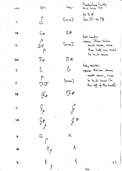note:

 $\int_{\text{eq}}^{t}$ 

 $\int_{C}^{L}$ 

 $C_{xx}$ 

 $\begin{matrix} \hbar \ \mathbf{z} \mathbf{z} \\ \hbar \end{matrix}$ 

 $\mathcal{D}_{\boldsymbol{z}}$ 

 $\delta$ 

 $\overline{r}$ 

 $J\bar{J}$ 

 $\mathcal{G}_{\mu}$ 

 $\frac{1}{3}$ 

 $a$   $\mu$ 

 $B_{\int}$ 

 $\frac{1}{4}$ 

 $\frac{1}{2}$ 

 $\mathsf{C}$ 

 $C_{+}$ 

 $\mathcal{D}$ 

 $D#$ 

 $\mathcal{E}$ 

 $\mathsf F$ 

L£

 $\overline{G}$ 

 $\overline{4}$ 

 $\pmb{\mathsf{A}}$ 

1#

 $\overline{\mathbf{g}}$ 

Poulderham Castle Brice Seede 1769

 $Gf R A'$  $\frac{1}{2}$  from  $2^{\circ}$  to  $1^{\circ}$   $\frac{1}{2}$ 

foot meaks: approx. 25mm below mouth seam, more than half way round to back seam

body marks: approx. 40 mm above marth seam, close to back seam (to the left of the math)

 $\mathcal{F}_{\mathbf{z}}$ 

 $\overline{U}$ #

 $[none]$ 

 $bdy:$ 

 $[...]$ 

 $C X$ 

 $[none]$ 

 $\mathcal{D}\mathbin{\times}$ 

 $\mathcal{L}$ 

 $\int_{0}^{0}$  $Z^*$ 

 $\alpha$ 

 $\boldsymbol{b}$ 

 $\frac{1}{2}$ 

dew

18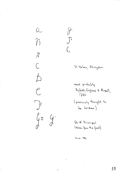

 $\mathcal{G}$ .

 $\overline{\mathcal{F}}$ 

St. Helen, Abingdon

most probably Byfield, England & Russell, 1780 (previously thought to be Jordan)

Gt A' Principal (taken from the feet)

 $\delta.c.w.$  1992.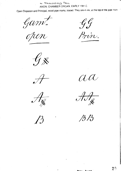PX MARKENFIELD HALL ANON, CHAMBER ORGAN, EARLY 19th C.

Open Diapason and Principal, wood pipe marks, traced. They are in ink, at the top of the pipe tront

Gamt.

 $\mathscr{G}\mathscr{G}$ 

Prin.

 $\mathscr{C}_{\mathbb{X}}$ 



 $\mathcal{P}_1$ 



 $\mathscr{H}\!\mathscr{F}_{\mathscr{A}}$ 

 $\beta R$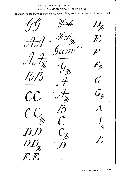#### ex MARKENFIELD HALL ANON. CHAMBER ORGAN, EARLY 19th C.

Stopped Diapason, wood pipe marks, traced. They are in ink, at the top of the pipe front.

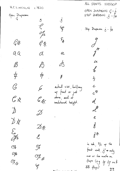HCLINCOLN  $c.1820$ 

 $\mathcal{S}$ 

 $\mathcal{C}$ 

 $\mathscr{O}_{\mathcal{A}}$ 

 $\mathscr{C} \mathscr{K}$ 

 $\overline{\mathcal{C}}$ 

 $\sqrt{2}$ 

 $\not\diamond$ 

 $\cancel{\epsilon}$ 

 $\mathcal{E}_{\cancel{K}}$ 

 $\mathscr{Z}$ 

 $\mathcal{Z}_{\textstyle\textcolor{red}{\not} \textcolor{red}{\times}}$ 

 $\mathcal{E}$ 

 $\mathcal{I}$ 

 $\mathcal{T}_{\mathcal{H}_{\chi}}$ 

G<br>J

 $\overline{g}$ 

 $\frac{1}{\sqrt{2}}$ 

 $S_{\nmid \vec{x}}$ 

Open Diapason

 $C^*$ 

 $QQ$ 

 $\beta$ 

 $\frac{1}{\sqrt{2}}$ 

 $\mathcal{C}$ 

 $\mathcal{C} \times$ 

ALL SAINTS HASSOP OPEN DIAPASON  $G - \overline{b}$ <br>STOP DIAPASON  $\overline{g} - \overline{f}$ #

Stop Diapason  $g - f$ #

 $\int$ 

 $\boldsymbol{y}^{\text{H}}$ 

 $\overline{\mu}$ 

 $\ell$ 

 $\frac{1}{2}$ 

 $\overline{C}$ 

 $c^{\hat{\nabla}}$ 

 $d_{-}$ 

d.

 $\epsilon$ 

 $\alpha$  $\cancel{0}$  $\cancel{\cancel{1}}$ actual size, halfway up front or just abore, and at radeboard height.

 $\sum$  $\bigtriangledown \chi$ 

 $\mathcal{E}_{n}$ 

 $\mathbb{C}$ 

 $Op$ 

 $O_{H, \chi}$ 

 $\oint$  $k^*$ in ink,  $2/3$  up the front wall g + only one or to mostes on Haps (e.g  $\not\models \nvdash$  out  $88 f(\phi)$  $2<sup>2</sup>$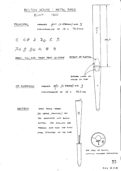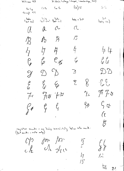William Hill

It. John's College Chapel, Cambridge, 1827

 $(a)$  15  $\langle \cdot, \cdot \rangle_{\mathbb{Z}}$  $(\varGamma\, b^{\mathsf{L}}$  $5w$   $3r$  $chC_{\gamma}$ through  $A^{\prime}C$  $f_{\text{bot}}$   $f_{\text{out}}$   $f_{\text{out}}$   $f_{\text{out}}$   $f_{\text{out}}$  $\mathcal{L}$  $(body)$  $t_{\alpha}$  of a pood  $(body, 1m)$  $\sim$  $C$  $\mu$ 13  $P_{\partial}$   $P_{\partial}$  $\mathcal{P}$  $\not\vdash$ 44  $47$  $\sqrt{ }$  $\int_{\mathcal{G}}^{\rho}\int_{\mathcal{L}}^{\rho}$  $\mathcal{\hat{\varphi}}$  $\ell_{\beta}$   $e_{\mathbf{X}}$  $\mathcal{C}$  $22$  $207$  $\sum$  $\mathscr{Y}$  $\mathcal{E}_{\mathcal{C}}$  $\sum$  $\bigvee_{i=1}^{n}$  $\begin{array}{cc} \mathcal{C} & \mathcal{C} \ \mathcal{U} & \mathcal{V} \end{array}$  $\mathscr{E}$  $\mathscr{F}$   $\mathscr{F}$   $\chi$  $\mathcal{T}_{\mathcal{H}}$  $7x7F$  $7/$  $G \not\subset$  $\frac{1}{2}$  $\zeta$   $\zeta$  $\begin{matrix} \varphi \\ \varphi \end{matrix}$  $\ell\iota$  $\beta$ register manks - on body immediately below note mank:<br>(fost manks - note only) for too  $C/2$  $\frac{15}{2}$  $\int\limits_{\mathcal{X}}\int\limits_{\mathcal{Y}}$ Ar fil  $\mathcal{L}$  $L$  $/2$  $/ \int$ gcm<br>9693  $2<sub>6</sub>$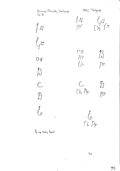

)cw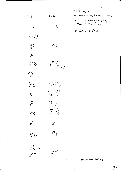$\frac{C_{\text{c}}\left(\sqrt{R_{\text{c}}}\right)}{R_{\text{c}}\left(\sqrt{R_{\text{c}}}\right)}$  $S_{w}$   $P_{r}$ :  $c\overline{C}$  $C_{C}$  $c_1$ #  $\mathcal{O}$  $\mathcal{O}$  $\mathcal{E}$  $222$  $\forall$  $\mathcal{Q}$  $\overline{\mathcal{D}}\mathcal{Q}_\mathcal{K}$  $\mathbb{R}$  $\begin{picture}(120,15) \put(0,0){\line(1,0){15}} \put(15,0){\line(1,0){15}} \put(15,0){\line(1,0){15}} \put(15,0){\line(1,0){15}} \put(15,0){\line(1,0){15}} \put(15,0){\line(1,0){15}} \put(15,0){\line(1,0){15}} \put(15,0){\line(1,0){15}} \put(15,0){\line(1,0){15}} \put(15,0){\line(1,0){15}} \put(15,0){\line(1,0){15}} \put(15,0){\line($  $\infty$  $77$  $\overline{\mathscr{E}}$  $\widetilde{f}\overset{\sim}{\curvearrowright}$  $\vec{\delta}$  $\zeta$  $\mathcal{C}_{1}$  $\varphi_{\not x}$  $e_{\mathcal{H}}$  $\mathscr{f}_{\omega}-$ 

 $\mathscr{O}^{\mathscr{A}}$ 

 $\overline{\mathcal{P}}$ 

1847 organ ex Wentworth Church, Yorks. now at Haringhuizen,<br>the Natherlands

probably Bishop

per Gerard Verloop

 $26$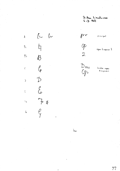St. Ann Limalsvae  $F \cdot D$  1851

 $\begin{array}{cc} \mathcal{L} & \mathcal{L} \end{array}$ 

 $\hbox{\AA}$ 

 $\overline{\xi}_1$ 

 $\zeta$ <sup>1</sup>

 $\bar{\epsilon}$ 

 $\overline{)}$ 

 $\frac{1}{2}$  $\mathcal{B}$ 

 $\ell_{\!\scriptscriptstyle(\!\rho\!)}$ 

 $\zeta$  $\mathfrak{t}$  $\begin{array}{c} \uparrow \downarrow \\ \downarrow \downarrow \end{array}$  $\mathbb{Z}_2^2$  $\hbox{$\zeta$}$  $\overline{\mathbb{G}}$ 

 $\mathcal{D}$ 

 $\gamma$ 

 $begin{bmatrix} 2 & 3 & 3 \end{bmatrix}$ 

 $2$ 

Open diagason 2

 $D_{\text{ou}}$  $O p$ 

double open dianason

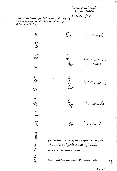Buckingham Chapel,<br>Clifton, Bristol I. Monday. 1851

similar to those on all other renks except ; Et. Dul and Su. Sal.

 $\alpha$ 

**S文** 

03

 $\overline{\mathbb{F}}$  $('g_{n} - g_{rincipal})$  $rac{C}{2}$  $('0<sub>p</sub>'' - 0<sub>pem</sub> Diagonal$  $\int$ su' - Swell) Tro  $C$ <br> $f$  $(2\pi + \gamma_{\text{inc}})$ Iw  $\frac{C}{15}$  $(15 - 5.4 + 1)$  $\left(\begin{matrix} 1 & 0 \\ 0 & 0 \end{matrix}\right)$  $\overline{\mathcal{C}}$ r pipes marked centre of body approx. I way up note marks on feet (and balls of Gamba) no marks on wooden pipes reeds and Ganba have note manks only

 $\subset$ C<br>※  $\hat{\mathcal{D}}$ も交  $\sum$  $\overline{h}$  $\sqrt{\frac{1}{2}}$  $\overset{\circ}{\mathcal{G}}$ ट<br>रू

 $28$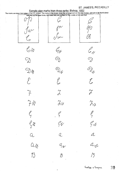ST. JAMES'S, PICCADILLY

Sample pipe marks from three ranks: Bishop, 1852<br>The marks are taken from pipes in the 1ft, octave. The marks in the boxes show the arrangement on the pipe bodies, and are to be found about<br>half way up the pipe fronts: the l )<br>D  $\mathcal{O}_{\mathcal{L}}$  $\mathcal{C} \times$ Cr C <sub>H</sub>x .<br>|C  $\overline{O}$ ODA<br>E  $\text{O}$ "♪☆  $\mathcal{E}$  $\mathcal{E}$  $\widetilde{\nearrow}$  $\chi$  $\mathcal{Z}_{\mathcal{A}}$  $\overleftrightarrow{f}$  $\mathcal{J}_{\mathcal{N}}$  $\ell_{1}$  $\ell_{1}$ G  $\mathscr{G}_{\mathcal{A}}$ Gr G#  $\overline{\mathcal{L}}$  $Q$  $Q$  $\alpha_{\chi}$  $a_{\mathcal{I}}$  $\mathcal{L}_{\mathcal{N}}$  $\overline{\mathcal{L}}$  $\mathcal{V}$  $\beta$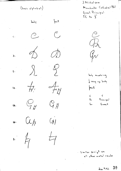$(basica<sup>1</sup>phabet)$ 

 $\frac{1}{2}$ 

 $\circ$ 

 $\phi$ 

 $\lambda$ 

 $\frac{1}{\sqrt{2}}$ 

 $C$ 

*C* 

 $\zeta$  :

 $\mathbf{D}$  :

 $\epsilon$  .

 $f$   $\ddagger$  :

 $G$ 

A#:

 $\int_{\text{ext}}$ 

 $\mathcal{C}$ 

 $\mathcal{D}$ 

 $\mathscr{S}$ 

 $A$ 

 $G_A$ 

J. Nicholson Manchaster Cathedral 1861 Great Principal  $1^{\prime}$ C to  $\frac{1}{2}^{\prime}$ 

 $\mathcal{C}$  $\mathcal{P}_{\mathbf{A}}$  $\mathcal{J}_{\mathcal{N}}$ 

body marking  $\frac{1}{2}$  way up body *Font*  $\bar{\mathsf{C}}$  $\mathsf{C}$ 

 $\mathcal{P}_{\mathbf{r}}$ 

 $G_{\tau}$ 

Principal  $G_{\text{real}}$ 

 $\mathbf{B}$ 

 $\overline{H}$ 

 $\overline{H}$ 

 $(y)$ 

Similar script on all other metal ranks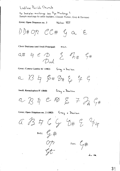### Ludlow Parish Church

For Snetzler markings see Pipe Markings 1 Sample markings by other builders. (Joseph Walker, Gray & Davison)

Great; Open Diapason no. 3 Walker 1837

 $D)$ # Op  $C$  $C$ #  $f$  a 

Choir Dulciana (and Swell Principal)

anon.

 $4e$   $\phi$   $\zeta$   $\mathscr{T}_{h\#}$  $Q#$  $D_{\alpha}I$ 

Great; Contra Gamba 16' (1883)

Gray a Davison

a B 4 B# D# E & 9

Swell; Keraulophon 8' (1860)

Gray a Davison

a R & C & E 7 2 C #

Great: Open Diapason no. 2 (1883)

Gray a Davison

a B A G G 8# 9 '44

 $\zeta$ #

Body;  $\frac{1}{4}$ #

Foot;  $L$  #

 $dc = 120$